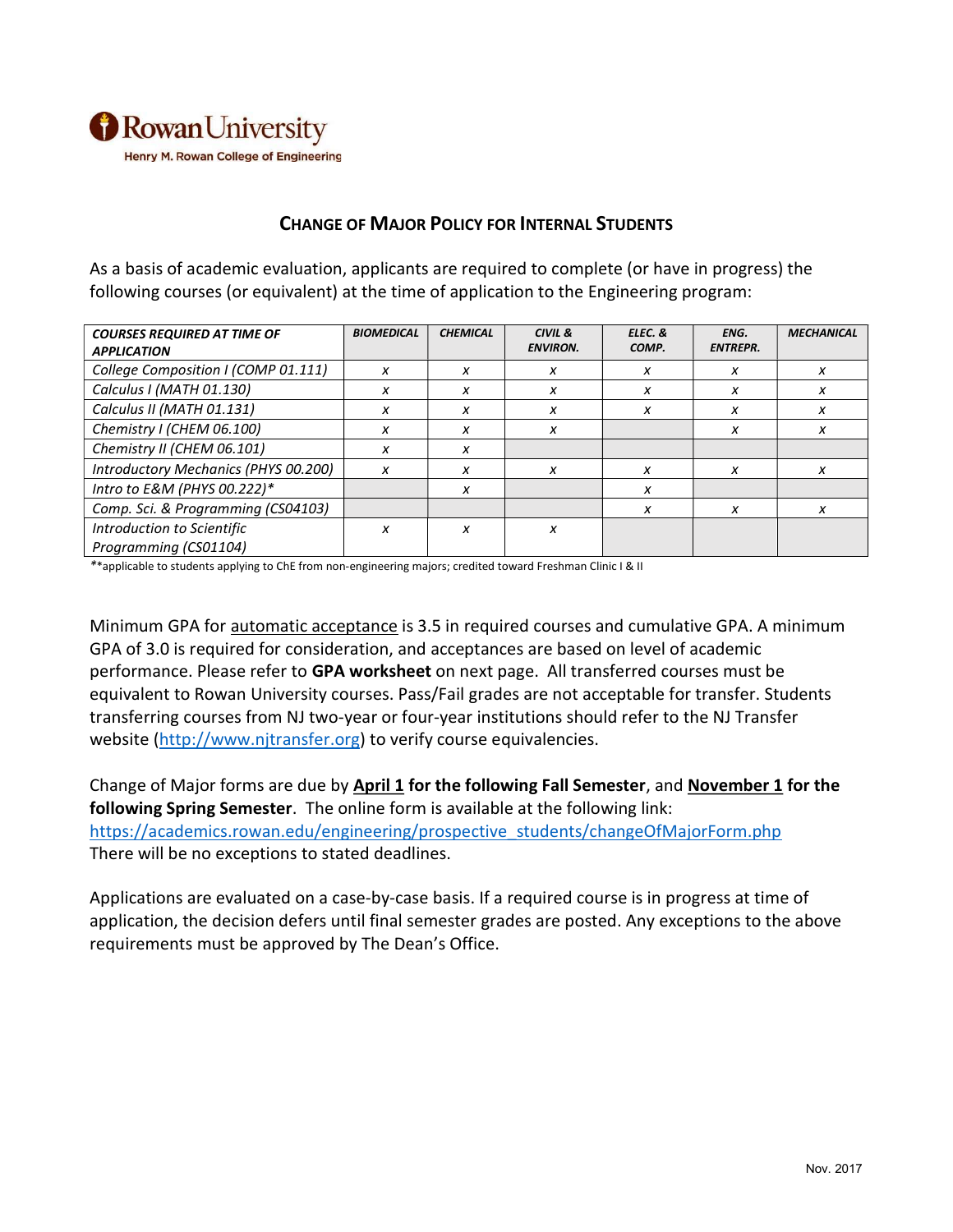

## CHANGE OF MAJOR POLICY FOR INTERNAL STUDENTS

As a basis of academic evaluation, applicants are required to complete (or have in progress) the following courses (or equivalent) at the time of application to the Engineering program:

| <b>COURSES REQUIRED AT TIME OF</b>   | <b>BIOMEDICAL</b> | <b>CHEMICAL</b> | CIVIL &         | ELEC. & | ENG.            | <b>MECHANICAL</b> |
|--------------------------------------|-------------------|-----------------|-----------------|---------|-----------------|-------------------|
| <b>APPLICATION</b>                   |                   |                 | <b>ENVIRON.</b> | COMP.   | <b>ENTREPR.</b> |                   |
| College Composition I (COMP 01.111)  | X                 | X               | x               | x       | x               | x                 |
| Calculus I (MATH 01.130)             | x                 | x               | x               | x       | x               | x                 |
| Calculus II (MATH 01.131)            | X                 | x               | x               | x       | x               | x                 |
| Chemistry I (CHEM 06.100)            | x                 | x               | x               |         | х               | x                 |
| Chemistry II (CHEM 06.101)           | x                 | x               |                 |         |                 |                   |
| Introductory Mechanics (PHYS 00.200) | X                 | X               | x               | x       | x               | x                 |
| Intro to E&M (PHYS 00.222)*          |                   | x               |                 | x       |                 |                   |
| Comp. Sci. & Programming (CS04103)   |                   |                 |                 | x       | x               | x                 |
| Introduction to Scientific           | X                 | x               | X               |         |                 |                   |
| Programming (CS01104)                |                   |                 |                 |         |                 |                   |

\*\*applicable to students applying to ChE from non-engineering majors; credited toward Freshman Clinic I & II

Minimum GPA for automatic acceptance is 3.5 in required courses and cumulative GPA. A minimum GPA of 3.0 is required for consideration, and acceptances are based on level of academic performance. Please refer to GPA worksheet on next page. All transferred courses must be equivalent to Rowan University courses. Pass/Fail grades are not acceptable for transfer. Students transferring courses from NJ two-year or four-year institutions should refer to the NJ Transfer website (http://www.njtransfer.org) to verify course equivalencies.

Change of Major forms are due by April 1 for the following Fall Semester, and November 1 for the following Spring Semester. The online form is available at the following link: https://academics.rowan.edu/engineering/prospective\_students/changeOfMajorForm.php There will be no exceptions to stated deadlines.

Applications are evaluated on a case-by-case basis. If a required course is in progress at time of application, the decision defers until final semester grades are posted. Any exceptions to the above requirements must be approved by The Dean's Office.